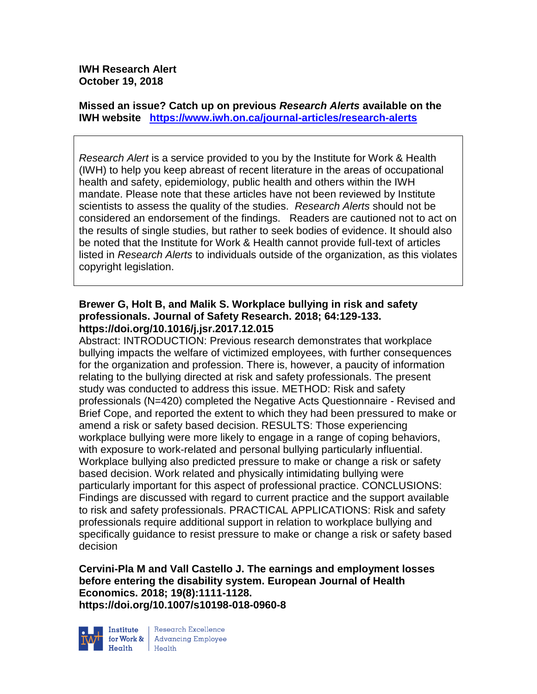**IWH Research Alert October 19, 2018**

**Missed an issue? Catch up on previous** *Research Alerts* **available on the [IWH website](http://www.iwh.on.ca/research-alerts) <https://www.iwh.on.ca/journal-articles/research-alerts>**

*Research Alert* is a service provided to you by the Institute for Work & Health (IWH) to help you keep abreast of recent literature in the areas of occupational health and safety, epidemiology, public health and others within the IWH mandate. Please note that these articles have not been reviewed by Institute scientists to assess the quality of the studies. *Research Alerts* should not be considered an endorsement of the findings. Readers are cautioned not to act on the results of single studies, but rather to seek bodies of evidence. It should also be noted that the Institute for Work & Health cannot provide full-text of articles listed in *Research Alerts* to individuals outside of the organization, as this violates copyright legislation.

#### **Brewer G, Holt B, and Malik S. Workplace bullying in risk and safety professionals. Journal of Safety Research. 2018; 64:129-133. https://doi.org/10.1016/j.jsr.2017.12.015**

Abstract: INTRODUCTION: Previous research demonstrates that workplace bullying impacts the welfare of victimized employees, with further consequences for the organization and profession. There is, however, a paucity of information relating to the bullying directed at risk and safety professionals. The present study was conducted to address this issue. METHOD: Risk and safety professionals (N=420) completed the Negative Acts Questionnaire - Revised and Brief Cope, and reported the extent to which they had been pressured to make or amend a risk or safety based decision. RESULTS: Those experiencing workplace bullying were more likely to engage in a range of coping behaviors, with exposure to work-related and personal bullying particularly influential. Workplace bullying also predicted pressure to make or change a risk or safety based decision. Work related and physically intimidating bullying were particularly important for this aspect of professional practice. CONCLUSIONS: Findings are discussed with regard to current practice and the support available to risk and safety professionals. PRACTICAL APPLICATIONS: Risk and safety professionals require additional support in relation to workplace bullying and specifically guidance to resist pressure to make or change a risk or safety based decision

**Cervini-Pla M and Vall Castello J. The earnings and employment losses before entering the disability system. European Journal of Health Economics. 2018; 19(8):1111-1128. https://doi.org/10.1007/s10198-018-0960-8** 



Research Excellence Institute Research Excellence<br>
for Work & Advancing Employee<br>
Hogith Hogith  $Heath$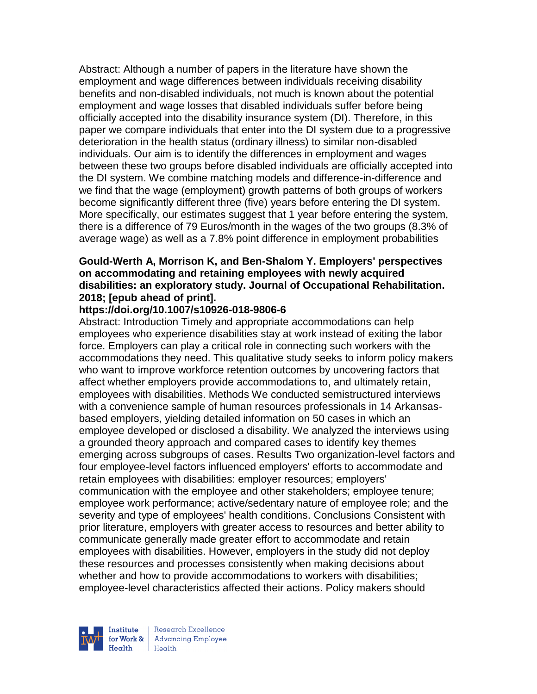Abstract: Although a number of papers in the literature have shown the employment and wage differences between individuals receiving disability benefits and non-disabled individuals, not much is known about the potential employment and wage losses that disabled individuals suffer before being officially accepted into the disability insurance system (DI). Therefore, in this paper we compare individuals that enter into the DI system due to a progressive deterioration in the health status (ordinary illness) to similar non-disabled individuals. Our aim is to identify the differences in employment and wages between these two groups before disabled individuals are officially accepted into the DI system. We combine matching models and difference-in-difference and we find that the wage (employment) growth patterns of both groups of workers become significantly different three (five) years before entering the DI system. More specifically, our estimates suggest that 1 year before entering the system, there is a difference of 79 Euros/month in the wages of the two groups (8.3% of average wage) as well as a 7.8% point difference in employment probabilities

#### **Gould-Werth A, Morrison K, and Ben-Shalom Y. Employers' perspectives on accommodating and retaining employees with newly acquired disabilities: an exploratory study. Journal of Occupational Rehabilitation. 2018; [epub ahead of print].**

#### **https://doi.org/10.1007/s10926-018-9806-6**

Abstract: Introduction Timely and appropriate accommodations can help employees who experience disabilities stay at work instead of exiting the labor force. Employers can play a critical role in connecting such workers with the accommodations they need. This qualitative study seeks to inform policy makers who want to improve workforce retention outcomes by uncovering factors that affect whether employers provide accommodations to, and ultimately retain, employees with disabilities. Methods We conducted semistructured interviews with a convenience sample of human resources professionals in 14 Arkansasbased employers, yielding detailed information on 50 cases in which an employee developed or disclosed a disability. We analyzed the interviews using a grounded theory approach and compared cases to identify key themes emerging across subgroups of cases. Results Two organization-level factors and four employee-level factors influenced employers' efforts to accommodate and retain employees with disabilities: employer resources; employers' communication with the employee and other stakeholders; employee tenure; employee work performance; active/sedentary nature of employee role; and the severity and type of employees' health conditions. Conclusions Consistent with prior literature, employers with greater access to resources and better ability to communicate generally made greater effort to accommodate and retain employees with disabilities. However, employers in the study did not deploy these resources and processes consistently when making decisions about whether and how to provide accommodations to workers with disabilities; employee-level characteristics affected their actions. Policy makers should



Research Excellence for Work & | Advancing Employee Health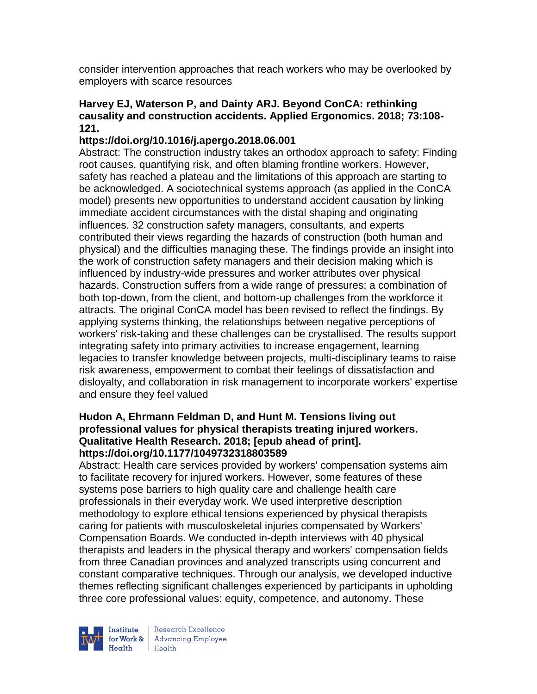consider intervention approaches that reach workers who may be overlooked by employers with scarce resources

## **Harvey EJ, Waterson P, and Dainty ARJ. Beyond ConCA: rethinking causality and construction accidents. Applied Ergonomics. 2018; 73:108- 121.**

## **https://doi.org/10.1016/j.apergo.2018.06.001**

Abstract: The construction industry takes an orthodox approach to safety: Finding root causes, quantifying risk, and often blaming frontline workers. However, safety has reached a plateau and the limitations of this approach are starting to be acknowledged. A sociotechnical systems approach (as applied in the ConCA model) presents new opportunities to understand accident causation by linking immediate accident circumstances with the distal shaping and originating influences. 32 construction safety managers, consultants, and experts contributed their views regarding the hazards of construction (both human and physical) and the difficulties managing these. The findings provide an insight into the work of construction safety managers and their decision making which is influenced by industry-wide pressures and worker attributes over physical hazards. Construction suffers from a wide range of pressures; a combination of both top-down, from the client, and bottom-up challenges from the workforce it attracts. The original ConCA model has been revised to reflect the findings. By applying systems thinking, the relationships between negative perceptions of workers' risk-taking and these challenges can be crystallised. The results support integrating safety into primary activities to increase engagement, learning legacies to transfer knowledge between projects, multi-disciplinary teams to raise risk awareness, empowerment to combat their feelings of dissatisfaction and disloyalty, and collaboration in risk management to incorporate workers' expertise and ensure they feel valued

#### **Hudon A, Ehrmann Feldman D, and Hunt M. Tensions living out professional values for physical therapists treating injured workers. Qualitative Health Research. 2018; [epub ahead of print]. https://doi.org/10.1177/1049732318803589**

Abstract: Health care services provided by workers' compensation systems aim to facilitate recovery for injured workers. However, some features of these systems pose barriers to high quality care and challenge health care professionals in their everyday work. We used interpretive description methodology to explore ethical tensions experienced by physical therapists caring for patients with musculoskeletal injuries compensated by Workers' Compensation Boards. We conducted in-depth interviews with 40 physical therapists and leaders in the physical therapy and workers' compensation fields from three Canadian provinces and analyzed transcripts using concurrent and constant comparative techniques. Through our analysis, we developed inductive themes reflecting significant challenges experienced by participants in upholding three core professional values: equity, competence, and autonomy. These



Research Excellence for Work & Advancing Employee<br>Health Health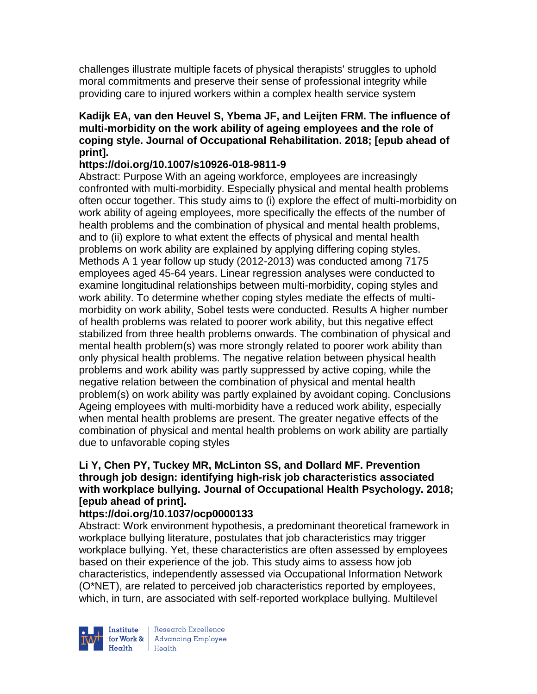challenges illustrate multiple facets of physical therapists' struggles to uphold moral commitments and preserve their sense of professional integrity while providing care to injured workers within a complex health service system

## **Kadijk EA, van den Heuvel S, Ybema JF, and Leijten FRM. The influence of multi-morbidity on the work ability of ageing employees and the role of coping style. Journal of Occupational Rehabilitation. 2018; [epub ahead of print].**

## **https://doi.org/10.1007/s10926-018-9811-9**

Abstract: Purpose With an ageing workforce, employees are increasingly confronted with multi-morbidity. Especially physical and mental health problems often occur together. This study aims to (i) explore the effect of multi-morbidity on work ability of ageing employees, more specifically the effects of the number of health problems and the combination of physical and mental health problems, and to (ii) explore to what extent the effects of physical and mental health problems on work ability are explained by applying differing coping styles. Methods A 1 year follow up study (2012-2013) was conducted among 7175 employees aged 45-64 years. Linear regression analyses were conducted to examine longitudinal relationships between multi-morbidity, coping styles and work ability. To determine whether coping styles mediate the effects of multimorbidity on work ability, Sobel tests were conducted. Results A higher number of health problems was related to poorer work ability, but this negative effect stabilized from three health problems onwards. The combination of physical and mental health problem(s) was more strongly related to poorer work ability than only physical health problems. The negative relation between physical health problems and work ability was partly suppressed by active coping, while the negative relation between the combination of physical and mental health problem(s) on work ability was partly explained by avoidant coping. Conclusions Ageing employees with multi-morbidity have a reduced work ability, especially when mental health problems are present. The greater negative effects of the combination of physical and mental health problems on work ability are partially due to unfavorable coping styles

## **Li Y, Chen PY, Tuckey MR, McLinton SS, and Dollard MF. Prevention through job design: identifying high-risk job characteristics associated with workplace bullying. Journal of Occupational Health Psychology. 2018; [epub ahead of print].**

#### **https://doi.org/10.1037/ocp0000133**

Abstract: Work environment hypothesis, a predominant theoretical framework in workplace bullying literature, postulates that job characteristics may trigger workplace bullying. Yet, these characteristics are often assessed by employees based on their experience of the job. This study aims to assess how job characteristics, independently assessed via Occupational Information Network (O\*NET), are related to perceived job characteristics reported by employees, which, in turn, are associated with self-reported workplace bullying. Multilevel



Research Excellence for Work & | Advancing Employee  $H_{\text{eath}}$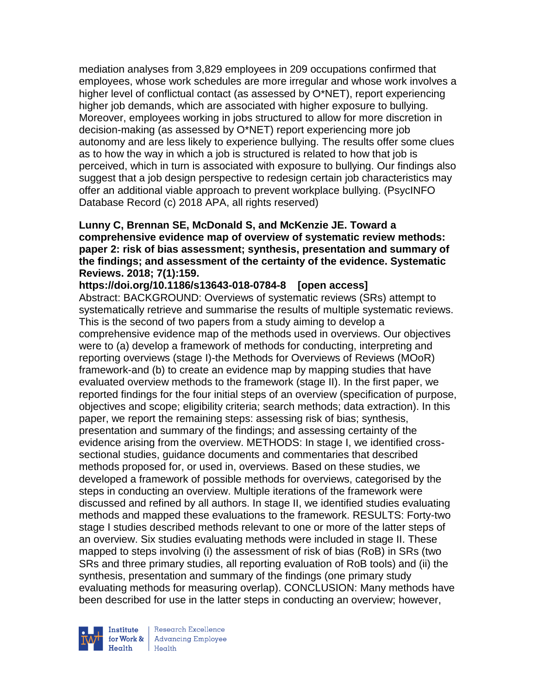mediation analyses from 3,829 employees in 209 occupations confirmed that employees, whose work schedules are more irregular and whose work involves a higher level of conflictual contact (as assessed by O\*NET), report experiencing higher job demands, which are associated with higher exposure to bullying. Moreover, employees working in jobs structured to allow for more discretion in decision-making (as assessed by O\*NET) report experiencing more job autonomy and are less likely to experience bullying. The results offer some clues as to how the way in which a job is structured is related to how that job is perceived, which in turn is associated with exposure to bullying. Our findings also suggest that a job design perspective to redesign certain job characteristics may offer an additional viable approach to prevent workplace bullying. (PsycINFO Database Record (c) 2018 APA, all rights reserved)

#### **Lunny C, Brennan SE, McDonald S, and McKenzie JE. Toward a comprehensive evidence map of overview of systematic review methods: paper 2: risk of bias assessment; synthesis, presentation and summary of the findings; and assessment of the certainty of the evidence. Systematic Reviews. 2018; 7(1):159.**

**https://doi.org/10.1186/s13643-018-0784-8 [open access]** Abstract: BACKGROUND: Overviews of systematic reviews (SRs) attempt to systematically retrieve and summarise the results of multiple systematic reviews. This is the second of two papers from a study aiming to develop a comprehensive evidence map of the methods used in overviews. Our objectives were to (a) develop a framework of methods for conducting, interpreting and reporting overviews (stage I)-the Methods for Overviews of Reviews (MOoR) framework-and (b) to create an evidence map by mapping studies that have evaluated overview methods to the framework (stage II). In the first paper, we reported findings for the four initial steps of an overview (specification of purpose, objectives and scope; eligibility criteria; search methods; data extraction). In this paper, we report the remaining steps: assessing risk of bias; synthesis, presentation and summary of the findings; and assessing certainty of the evidence arising from the overview. METHODS: In stage I, we identified crosssectional studies, guidance documents and commentaries that described methods proposed for, or used in, overviews. Based on these studies, we developed a framework of possible methods for overviews, categorised by the steps in conducting an overview. Multiple iterations of the framework were discussed and refined by all authors. In stage II, we identified studies evaluating methods and mapped these evaluations to the framework. RESULTS: Forty-two stage I studies described methods relevant to one or more of the latter steps of an overview. Six studies evaluating methods were included in stage II. These mapped to steps involving (i) the assessment of risk of bias (RoB) in SRs (two SRs and three primary studies, all reporting evaluation of RoB tools) and (ii) the synthesis, presentation and summary of the findings (one primary study evaluating methods for measuring overlap). CONCLUSION: Many methods have been described for use in the latter steps in conducting an overview; however,

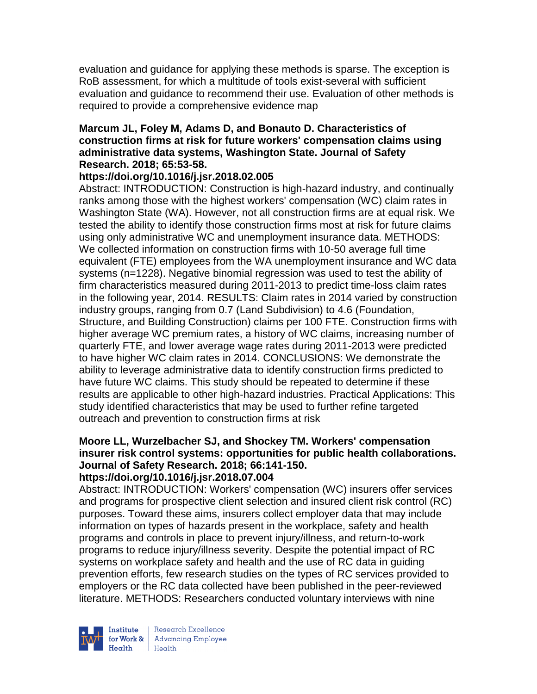evaluation and guidance for applying these methods is sparse. The exception is RoB assessment, for which a multitude of tools exist-several with sufficient evaluation and guidance to recommend their use. Evaluation of other methods is required to provide a comprehensive evidence map

## **Marcum JL, Foley M, Adams D, and Bonauto D. Characteristics of construction firms at risk for future workers' compensation claims using administrative data systems, Washington State. Journal of Safety Research. 2018; 65:53-58.**

## **https://doi.org/10.1016/j.jsr.2018.02.005**

Abstract: INTRODUCTION: Construction is high-hazard industry, and continually ranks among those with the highest workers' compensation (WC) claim rates in Washington State (WA). However, not all construction firms are at equal risk. We tested the ability to identify those construction firms most at risk for future claims using only administrative WC and unemployment insurance data. METHODS: We collected information on construction firms with 10-50 average full time equivalent (FTE) employees from the WA unemployment insurance and WC data systems (n=1228). Negative binomial regression was used to test the ability of firm characteristics measured during 2011-2013 to predict time-loss claim rates in the following year, 2014. RESULTS: Claim rates in 2014 varied by construction industry groups, ranging from 0.7 (Land Subdivision) to 4.6 (Foundation, Structure, and Building Construction) claims per 100 FTE. Construction firms with higher average WC premium rates, a history of WC claims, increasing number of quarterly FTE, and lower average wage rates during 2011-2013 were predicted to have higher WC claim rates in 2014. CONCLUSIONS: We demonstrate the ability to leverage administrative data to identify construction firms predicted to have future WC claims. This study should be repeated to determine if these results are applicable to other high-hazard industries. Practical Applications: This study identified characteristics that may be used to further refine targeted outreach and prevention to construction firms at risk

# **Moore LL, Wurzelbacher SJ, and Shockey TM. Workers' compensation insurer risk control systems: opportunities for public health collaborations. Journal of Safety Research. 2018; 66:141-150.**

## **https://doi.org/10.1016/j.jsr.2018.07.004**

Abstract: INTRODUCTION: Workers' compensation (WC) insurers offer services and programs for prospective client selection and insured client risk control (RC) purposes. Toward these aims, insurers collect employer data that may include information on types of hazards present in the workplace, safety and health programs and controls in place to prevent injury/illness, and return-to-work programs to reduce injury/illness severity. Despite the potential impact of RC systems on workplace safety and health and the use of RC data in guiding prevention efforts, few research studies on the types of RC services provided to employers or the RC data collected have been published in the peer-reviewed literature. METHODS: Researchers conducted voluntary interviews with nine



Research Excellence Financial Research Excellence<br>
Financing Employee<br>
Realth Health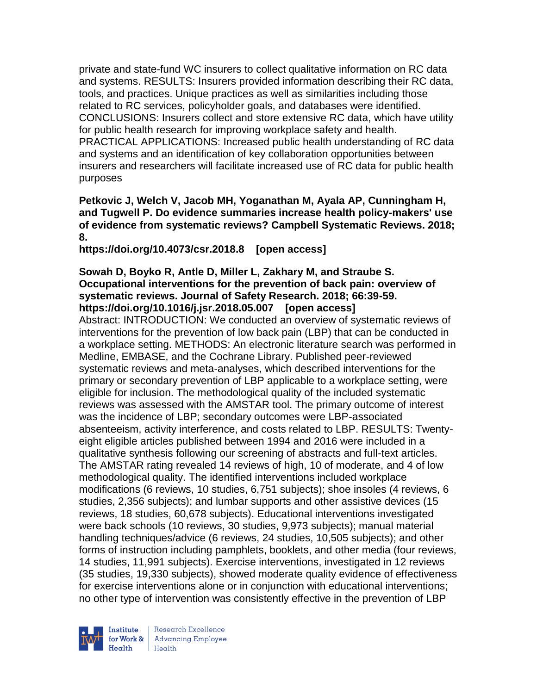private and state-fund WC insurers to collect qualitative information on RC data and systems. RESULTS: Insurers provided information describing their RC data, tools, and practices. Unique practices as well as similarities including those related to RC services, policyholder goals, and databases were identified. CONCLUSIONS: Insurers collect and store extensive RC data, which have utility for public health research for improving workplace safety and health. PRACTICAL APPLICATIONS: Increased public health understanding of RC data and systems and an identification of key collaboration opportunities between insurers and researchers will facilitate increased use of RC data for public health purposes

#### **Petkovic J, Welch V, Jacob MH, Yoganathan M, Ayala AP, Cunningham H, and Tugwell P. Do evidence summaries increase health policy-makers' use of evidence from systematic reviews? Campbell Systematic Reviews. 2018; 8.**

**https://doi.org/10.4073/csr.2018.8 [open access]**

#### **Sowah D, Boyko R, Antle D, Miller L, Zakhary M, and Straube S. Occupational interventions for the prevention of back pain: overview of systematic reviews. Journal of Safety Research. 2018; 66:39-59. https://doi.org/10.1016/j.jsr.2018.05.007 [open access]**

Abstract: INTRODUCTION: We conducted an overview of systematic reviews of interventions for the prevention of low back pain (LBP) that can be conducted in a workplace setting. METHODS: An electronic literature search was performed in Medline, EMBASE, and the Cochrane Library. Published peer-reviewed systematic reviews and meta-analyses, which described interventions for the primary or secondary prevention of LBP applicable to a workplace setting, were eligible for inclusion. The methodological quality of the included systematic reviews was assessed with the AMSTAR tool. The primary outcome of interest was the incidence of LBP; secondary outcomes were LBP-associated absenteeism, activity interference, and costs related to LBP. RESULTS: Twentyeight eligible articles published between 1994 and 2016 were included in a qualitative synthesis following our screening of abstracts and full-text articles. The AMSTAR rating revealed 14 reviews of high, 10 of moderate, and 4 of low methodological quality. The identified interventions included workplace modifications (6 reviews, 10 studies, 6,751 subjects); shoe insoles (4 reviews, 6 studies, 2,356 subjects); and lumbar supports and other assistive devices (15 reviews, 18 studies, 60,678 subjects). Educational interventions investigated were back schools (10 reviews, 30 studies, 9,973 subjects); manual material handling techniques/advice (6 reviews, 24 studies, 10,505 subjects); and other forms of instruction including pamphlets, booklets, and other media (four reviews, 14 studies, 11,991 subjects). Exercise interventions, investigated in 12 reviews (35 studies, 19,330 subjects), showed moderate quality evidence of effectiveness for exercise interventions alone or in conjunction with educational interventions; no other type of intervention was consistently effective in the prevention of LBP



Research Excellence for Work & | Advancing Employee Health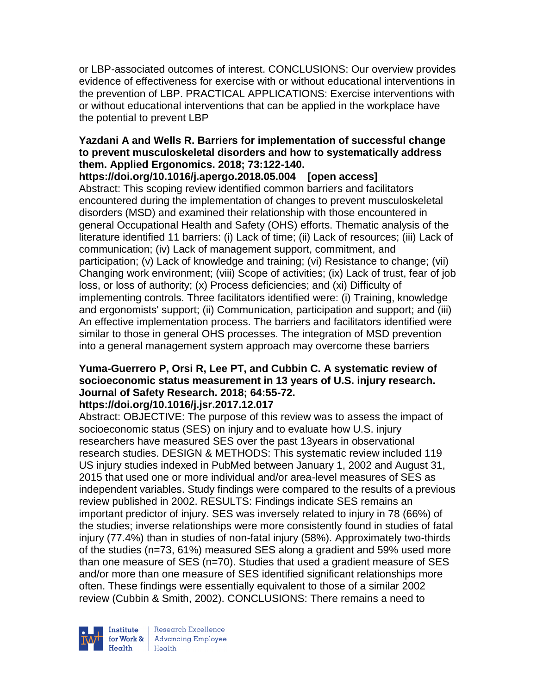or LBP-associated outcomes of interest. CONCLUSIONS: Our overview provides evidence of effectiveness for exercise with or without educational interventions in the prevention of LBP. PRACTICAL APPLICATIONS: Exercise interventions with or without educational interventions that can be applied in the workplace have the potential to prevent LBP

# **Yazdani A and Wells R. Barriers for implementation of successful change to prevent musculoskeletal disorders and how to systematically address them. Applied Ergonomics. 2018; 73:122-140.**

**https://doi.org/10.1016/j.apergo.2018.05.004 [open access]**

Abstract: This scoping review identified common barriers and facilitators encountered during the implementation of changes to prevent musculoskeletal disorders (MSD) and examined their relationship with those encountered in general Occupational Health and Safety (OHS) efforts. Thematic analysis of the literature identified 11 barriers: (i) Lack of time; (ii) Lack of resources; (iii) Lack of communication; (iv) Lack of management support, commitment, and participation; (v) Lack of knowledge and training; (vi) Resistance to change; (vii) Changing work environment; (viii) Scope of activities; (ix) Lack of trust, fear of job loss, or loss of authority; (x) Process deficiencies; and (xi) Difficulty of implementing controls. Three facilitators identified were: (i) Training, knowledge and ergonomists' support; (ii) Communication, participation and support; and (iii) An effective implementation process. The barriers and facilitators identified were similar to those in general OHS processes. The integration of MSD prevention into a general management system approach may overcome these barriers

#### **Yuma-Guerrero P, Orsi R, Lee PT, and Cubbin C. A systematic review of socioeconomic status measurement in 13 years of U.S. injury research. Journal of Safety Research. 2018; 64:55-72. https://doi.org/10.1016/j.jsr.2017.12.017**

Abstract: OBJECTIVE: The purpose of this review was to assess the impact of socioeconomic status (SES) on injury and to evaluate how U.S. injury researchers have measured SES over the past 13years in observational research studies. DESIGN & METHODS: This systematic review included 119 US injury studies indexed in PubMed between January 1, 2002 and August 31, 2015 that used one or more individual and/or area-level measures of SES as independent variables. Study findings were compared to the results of a previous review published in 2002. RESULTS: Findings indicate SES remains an important predictor of injury. SES was inversely related to injury in 78 (66%) of the studies; inverse relationships were more consistently found in studies of fatal injury (77.4%) than in studies of non-fatal injury (58%). Approximately two-thirds of the studies (n=73, 61%) measured SES along a gradient and 59% used more than one measure of SES (n=70). Studies that used a gradient measure of SES and/or more than one measure of SES identified significant relationships more often. These findings were essentially equivalent to those of a similar 2002 review (Cubbin & Smith, 2002). CONCLUSIONS: There remains a need to